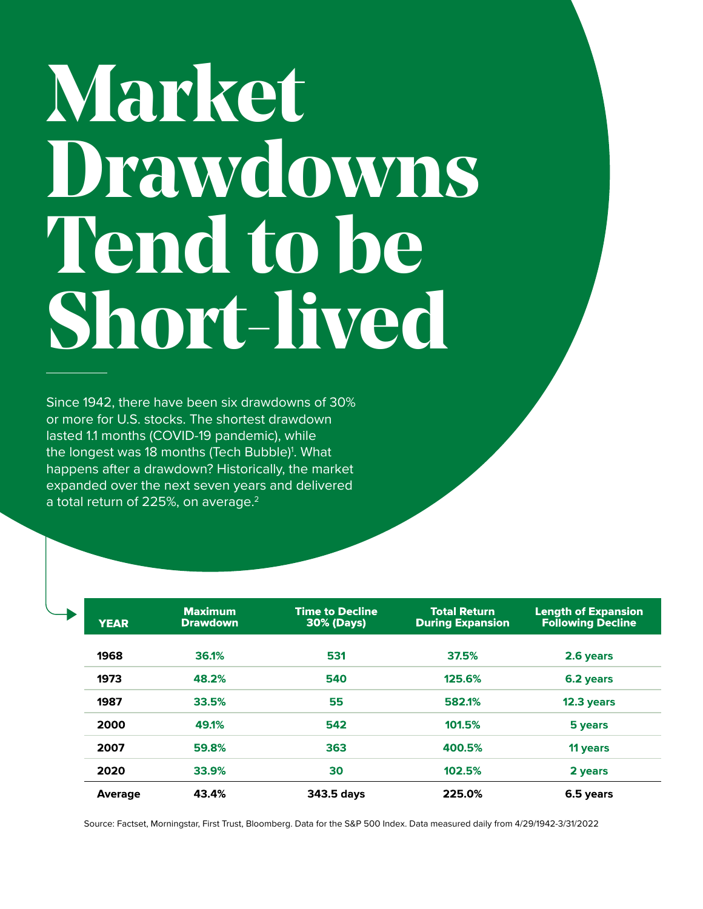## **Market Drawdowns Tend to be Short-lived**

Since 1942, there have been six drawdowns of 30% or more for U.S. stocks. The shortest drawdown lasted 1.1 months (COVID-19 pandemic), while the longest was 18 months (Tech Bubble)<sup>1</sup>. What happens after a drawdown? Historically, the market expanded over the next seven years and delivered a total return of 225%, on average.<sup>2</sup>

| <b>YEAR</b>    | <b>Maximum</b><br><b>Drawdown</b> | <b>Time to Decline</b><br><b>30% (Days)</b> | <b>Total Return</b><br><b>During Expansion</b> | <b>Length of Expansion</b><br><b>Following Decline</b> |
|----------------|-----------------------------------|---------------------------------------------|------------------------------------------------|--------------------------------------------------------|
| 1968           | 36.1%                             | 531                                         | 37.5%                                          | 2.6 years                                              |
| 1973           | 48.2%                             | 540                                         | 125.6%                                         | 6.2 years                                              |
| 1987           | 33.5%                             | 55                                          | 582.1%                                         | 12.3 years                                             |
| 2000           | 49.1%                             | 542                                         | 101.5%                                         | 5 years                                                |
| 2007           | 59.8%                             | 363                                         | 400.5%                                         | 11 years                                               |
| 2020           | 33.9%                             | 30                                          | 102.5%                                         | 2 years                                                |
| <b>Average</b> | 43.4%                             | 343.5 days                                  | 225.0%                                         | 6.5 years                                              |

Source: Factset, Morningstar, First Trust, Bloomberg. Data for the S&P 500 Index. Data measured daily from 4/29/1942-3/31/2022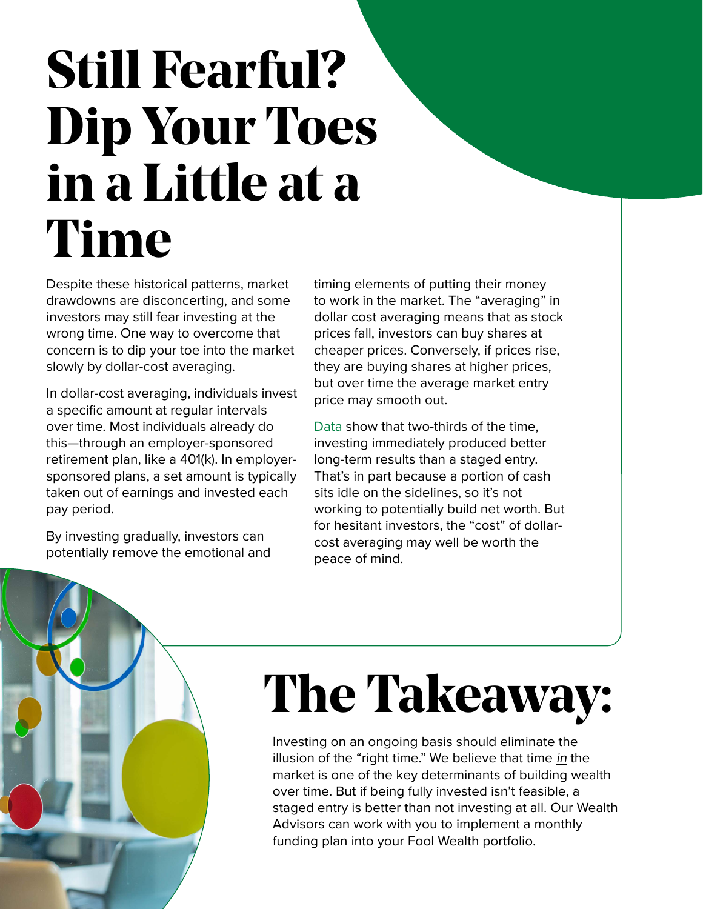## **Still Fearful? Dip Your Toes in a Little at a Time**

Despite these historical patterns, market drawdowns are disconcerting, and some investors may still fear investing at the wrong time. One way to overcome that concern is to dip your toe into the market slowly by dollar-cost averaging.

In dollar-cost averaging, individuals invest a specific amount at regular intervals over time. Most individuals already do this—through an employer-sponsored retirement plan, like a 401(k). In employersponsored plans, a set amount is typically taken out of earnings and invested each pay period.

By investing gradually, investors can potentially remove the emotional and timing elements of putting their money to work in the market. The "averaging" in dollar cost averaging means that as stock prices fall, investors can buy shares at cheaper prices. Conversely, if prices rise, they are buying shares at higher prices, but over time the average market entry price may smooth out.

[Data](https://static.twentyoverten.com/5980d16bbfb1c93238ad9c24/rJpQmY8o7/Dollar-Cost-Averaging-Just-Means-Taking-Risk-Later-Vanguard.pdf) show that two-thirds of the time, investing immediately produced better long-term results than a staged entry. That's in part because a portion of cash sits idle on the sidelines, so it's not working to potentially build net worth. But for hesitant investors, the "cost" of dollarcost averaging may well be worth the peace of mind.

## **The Takeaway:**

Investing on an ongoing basis should eliminate the illusion of the "right time." We believe that time in the market is one of the key determinants of building wealth over time. But if being fully invested isn't feasible, a staged entry is better than not investing at all. Our Wealth Advisors can work with you to implement a monthly funding plan into your Fool Wealth portfolio.